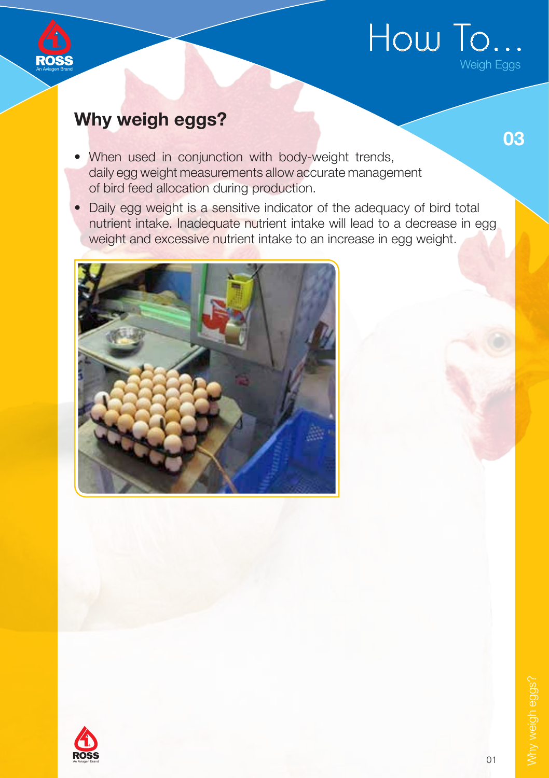

# An Aviagen Brand

### Why weigh eggs?

03

- When used in conjunction with body-weight trends, daily egg weight measurements allow accurate management of bird feed allocation during production.
- Daily egg weight is a sensitive indicator of the adequacy of bird total nutrient intake. Inadequate nutrient intake will lead to a decrease in egg weight and excessive nutrient intake to an increase in egg weight.



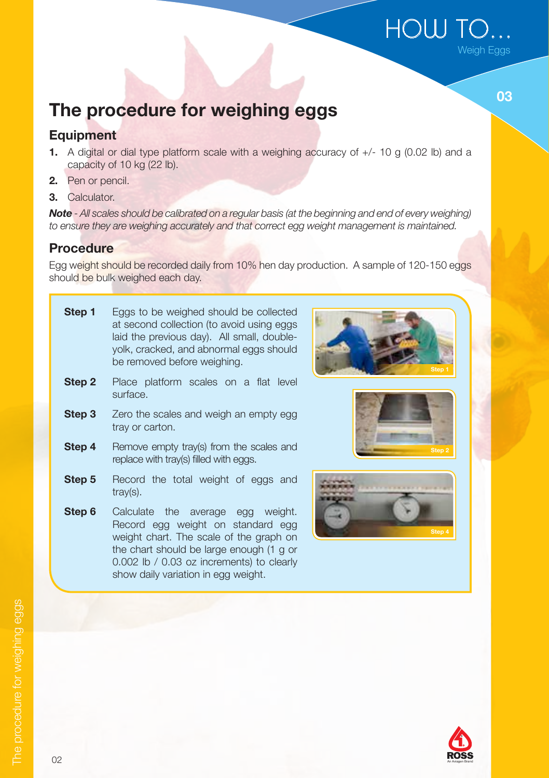# The procedure for weighing eggs

#### **Equipment**

- **1.** A digital or dial type platform scale with a weighing accuracy of  $+/-$  10 g (0.02 lb) and a capacity of 10 kg (22 lb).
- 2. Pen or pencil.
- 3. Calculator.

Note - All scales should be calibrated on a regular basis (at the beginning and end of every weighing) to ensure they are weighing accurately and that correct egg weight management is maintained.

#### Procedure

Egg weight should be recorded daily from 10% hen day production. A sample of 120-150 eggs should be bulk weighed each day.

- **Step 1** Eggs to be weighed should be collected at second collection (to avoid using eggs laid the previous day). All small, doubleyolk, cracked, and abnormal eggs should be removed before weighing.
- **Step 2** Place platform scales on a flat level surface.
- **Step 3** Zero the scales and weigh an empty egg tray or carton.
- **Step 4** Remove empty tray(s) from the scales and replace with tray(s) filled with eggs.
- **Step 5** Record the total weight of eggs and tray(s).
- **Step 6** Calculate the average egg weight. Record egg weight on standard egg weight chart. The scale of the graph on the chart should be large enough (1 g or 0.002 lb / 0.03 oz increments) to clearly show daily variation in egg weight.









## HOW TO. Weigh Eggs

03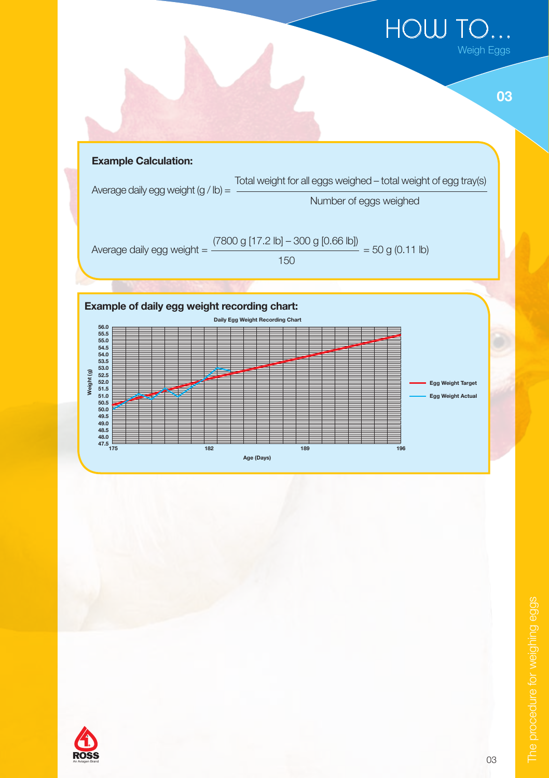# How to...

03





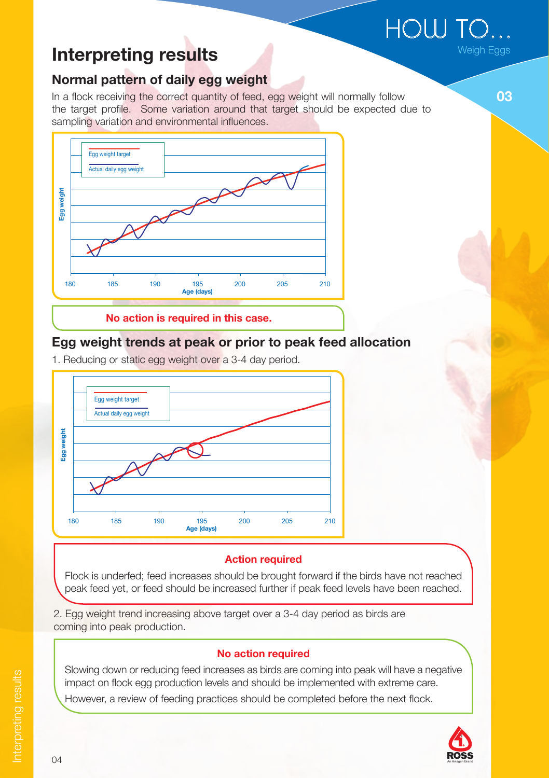$\text{HOW TO} \dots$ 

03

### Interpreting results

#### Normal pattern of daily egg weight

In a flock receiving the correct quantity of feed, egg weight will normally follow the target profile. Some variation around that target should be expected due to sampling variation and environmental influences.



#### Egg weight trends at peak or prior to peak feed allocation

1. Reducing or static egg weight over a 3-4 day period.



#### **Action required**

Flock is underfed; feed increases should be brought forward if the birds have not reached peak feed yet, or feed should be increased further if peak feed levels have been reached.

2. Egg weight trend increasing above target over a 3-4 day period as birds are coming into peak production.

#### No action required

Slowing down or reducing feed increases as birds are coming into peak will have a negative impact on flock egg production levels and should be implemented with extreme care.

However, a review of feeding practices should be completed before the next flock.